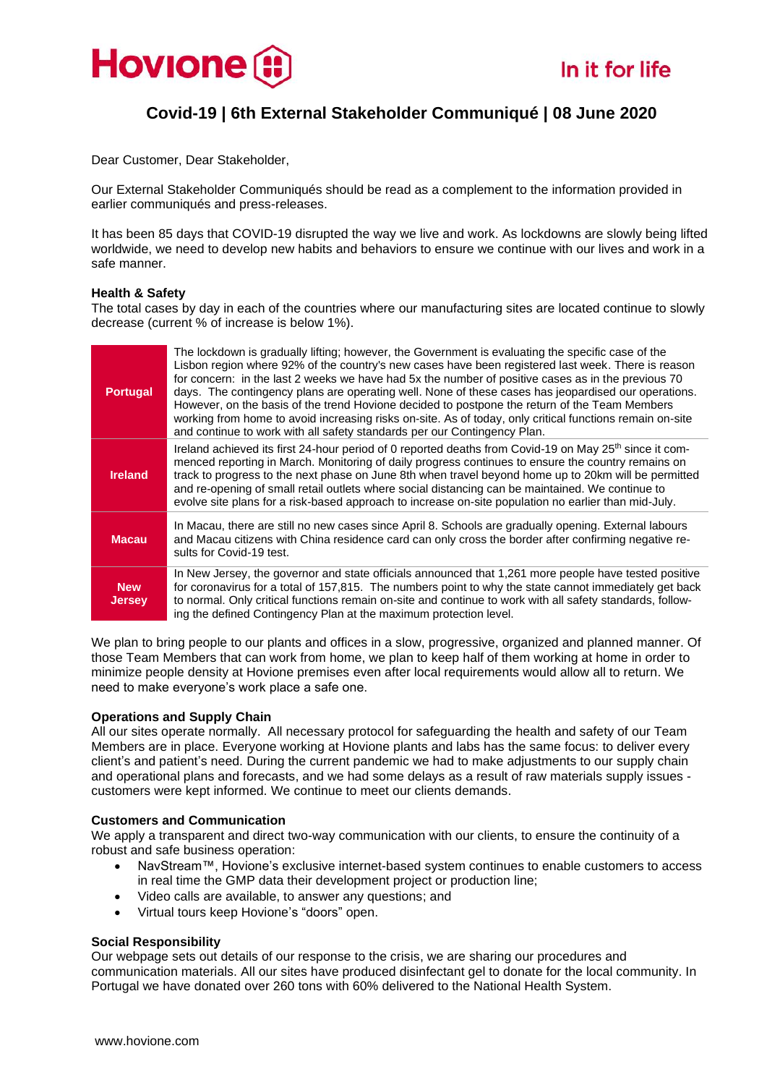

# **Covid-19 | 6th External Stakeholder Communiqué | 08 June 2020**

Dear Customer, Dear Stakeholder,

Our External Stakeholder Communiqués should be read as a complement to the information provided in earlier communiqués and press-releases.

It has been 85 days that COVID-19 disrupted the way we live and work. As lockdowns are slowly being lifted worldwide, we need to develop new habits and behaviors to ensure we continue with our lives and work in a safe manner.

# **Health & Safety**

The total cases by day in each of the countries where our manufacturing sites are located continue to slowly decrease (current % of increase is below 1%).

| <b>Portugal</b>             | The lockdown is gradually lifting; however, the Government is evaluating the specific case of the<br>Lisbon region where 92% of the country's new cases have been registered last week. There is reason<br>for concern: in the last 2 weeks we have had 5x the number of positive cases as in the previous 70<br>days. The contingency plans are operating well. None of these cases has jeopardised our operations.<br>However, on the basis of the trend Hovione decided to postpone the return of the Team Members<br>working from home to avoid increasing risks on-site. As of today, only critical functions remain on-site<br>and continue to work with all safety standards per our Contingency Plan. |
|-----------------------------|---------------------------------------------------------------------------------------------------------------------------------------------------------------------------------------------------------------------------------------------------------------------------------------------------------------------------------------------------------------------------------------------------------------------------------------------------------------------------------------------------------------------------------------------------------------------------------------------------------------------------------------------------------------------------------------------------------------|
| <b>Ireland</b>              | Ireland achieved its first 24-hour period of 0 reported deaths from Covid-19 on May 25 <sup>th</sup> since it com-<br>menced reporting in March. Monitoring of daily progress continues to ensure the country remains on<br>track to progress to the next phase on June 8th when travel beyond home up to 20km will be permitted<br>and re-opening of small retail outlets where social distancing can be maintained. We continue to<br>evolve site plans for a risk-based approach to increase on-site population no earlier than mid-July.                                                                                                                                                                  |
| <b>Macau</b>                | In Macau, there are still no new cases since April 8. Schools are gradually opening. External labours<br>and Macau citizens with China residence card can only cross the border after confirming negative re-<br>sults for Covid-19 test.                                                                                                                                                                                                                                                                                                                                                                                                                                                                     |
| <b>New</b><br><b>Jersey</b> | In New Jersey, the governor and state officials announced that 1,261 more people have tested positive<br>for coronavirus for a total of 157,815. The numbers point to why the state cannot immediately get back<br>to normal. Only critical functions remain on-site and continue to work with all safety standards, follow-<br>ing the defined Contingency Plan at the maximum protection level.                                                                                                                                                                                                                                                                                                             |

We plan to bring people to our plants and offices in a slow, progressive, organized and planned manner. Of those Team Members that can work from home, we plan to keep half of them working at home in order to minimize people density at Hovione premises even after local requirements would allow all to return. We need to make everyone's work place a safe one.

# **Operations and Supply Chain**

All our sites operate normally. All necessary protocol for safeguarding the health and safety of our Team Members are in place. Everyone working at Hovione plants and labs has the same focus: to deliver every client's and patient's need. During the current pandemic we had to make adjustments to our supply chain and operational plans and forecasts, and we had some delays as a result of raw materials supply issues customers were kept informed. We continue to meet our clients demands.

#### **Customers and Communication**

We apply a transparent and direct two-way communication with our clients, to ensure the continuity of a robust and safe business operation:

- NavStream™, Hovione's exclusive internet-based system continues to enable customers to access in real time the GMP data their development project or production line;
- Video calls are available, to answer any questions; and
- Virtual tours keep Hovione's "doors" open.

# **Social Responsibility**

Our [webpage](https://www.hovione.com/covid-19) sets out details of our response to the crisis, we are sharing our procedures and communication materials. All our sites have produced disinfectant gel to donate for the local community. In Portugal we have donated over 260 tons with 60% delivered to the National Health System.